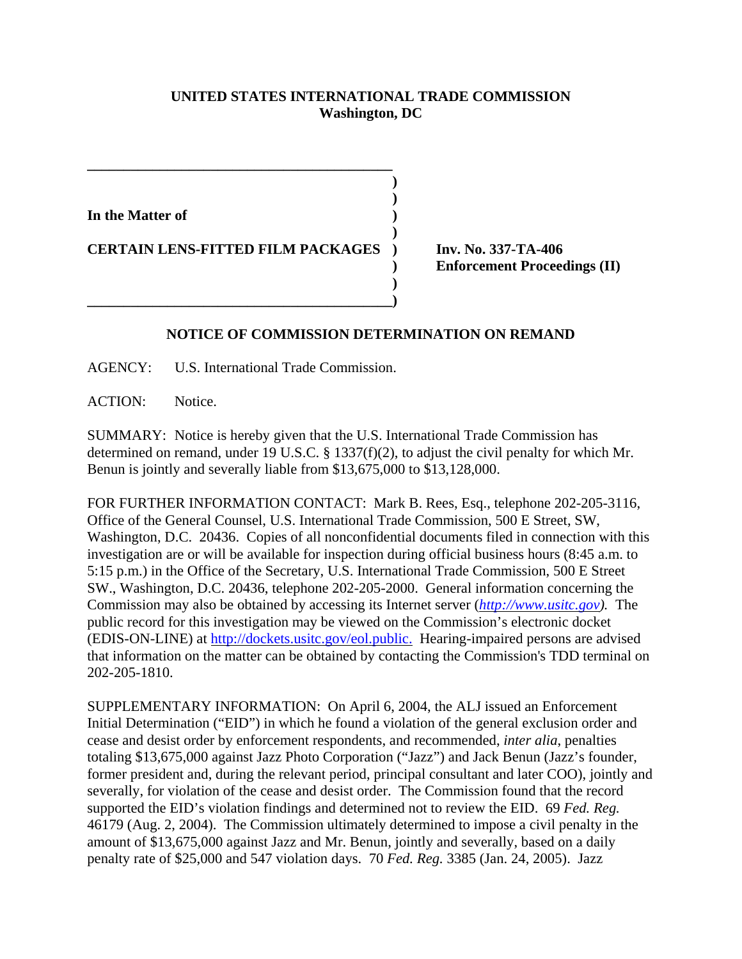## **UNITED STATES INTERNATIONAL TRADE COMMISSION Washington, DC**

**) )**

**)**

**)** 

**In the Matter of )**

**CERTAIN LENS-FITTED FILM PACKAGES ) Inv. No. 337-TA-406**

**\_\_\_\_\_\_\_\_\_\_\_\_\_\_\_\_\_\_\_\_\_\_\_\_\_\_\_\_\_\_\_\_\_\_\_\_\_\_\_\_\_\_**

**) Enforcement Proceedings (II)**

## **NOTICE OF COMMISSION DETERMINATION ON REMAND**

AGENCY: U.S. International Trade Commission.

**\_\_\_\_\_\_\_\_\_\_\_\_\_\_\_\_\_\_\_\_\_\_\_\_\_\_\_\_\_\_\_\_\_\_\_\_\_\_\_\_\_\_)**

ACTION: Notice.

SUMMARY: Notice is hereby given that the U.S. International Trade Commission has determined on remand, under 19 U.S.C. § 1337(f)(2), to adjust the civil penalty for which Mr. Benun is jointly and severally liable from \$13,675,000 to \$13,128,000.

FOR FURTHER INFORMATION CONTACT: Mark B. Rees, Esq., telephone 202-205-3116, Office of the General Counsel, U.S. International Trade Commission, 500 E Street, SW, Washington, D.C. 20436. Copies of all nonconfidential documents filed in connection with this investigation are or will be available for inspection during official business hours (8:45 a.m. to 5:15 p.m.) in the Office of the Secretary, U.S. International Trade Commission, 500 E Street SW., Washington, D.C. 20436, telephone 202-205-2000. General information concerning the Commission may also be obtained by accessing its Internet server (*http://www.usitc.gov).* The public record for this investigation may be viewed on the Commission's electronic docket (EDIS-ON-LINE) at http://dockets.usitc.gov/eol.public. Hearing-impaired persons are advised that information on the matter can be obtained by contacting the Commission's TDD terminal on 202-205-1810.

SUPPLEMENTARY INFORMATION: On April 6, 2004, the ALJ issued an Enforcement Initial Determination ("EID") in which he found a violation of the general exclusion order and cease and desist order by enforcement respondents, and recommended, *inter alia*, penalties totaling \$13,675,000 against Jazz Photo Corporation ("Jazz") and Jack Benun (Jazz's founder, former president and, during the relevant period, principal consultant and later COO), jointly and severally, for violation of the cease and desist order. The Commission found that the record supported the EID's violation findings and determined not to review the EID. 69 *Fed. Reg.* 46179 (Aug. 2, 2004). The Commission ultimately determined to impose a civil penalty in the amount of \$13,675,000 against Jazz and Mr. Benun, jointly and severally, based on a daily penalty rate of \$25,000 and 547 violation days. 70 *Fed. Reg.* 3385 (Jan. 24, 2005). Jazz